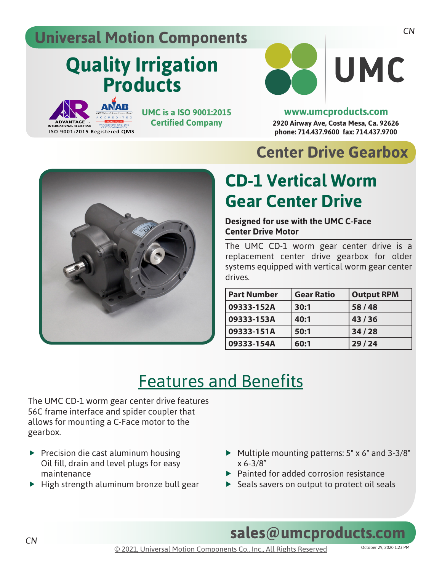### **Universal Motion Components**

# **Quality Irrigation Products**

**ANAR** 

ISO 9001:2015 Registered QMS

**UMC is a ISO 9001:2015 Certified Company**



**2920 Airway Ave, Costa Mesa, Ca. 92626 phone: 714.437.9600 fax: 714.437.9700 www.umcproducts.com**

### **Center Drive Gearbox**



## **CD-1 Vertical Worm Gear Center Drive**

#### **Designed for use with the UMC C-Face Center Drive Motor**

The UMC CD-1 worm gear center drive is a replacement center drive gearbox for older systems equipped with vertical worm gear center drives.

| <b>Part Number</b> | <b>Gear Ratio</b> | <b>Output RPM</b> |
|--------------------|-------------------|-------------------|
| 09333-152A         | 30:1              | 58/48             |
| 09333-153A         | 40:1              | 43/36             |
| 09333-151A         | 50:1              | 34/28             |
| 09333-154A         | 60:1              | 29/24             |

## Features and Benefits

The UMC CD-1 worm gear center drive features 56C frame interface and spider coupler that allows for mounting a C-Face motor to the gearbox.

- $\blacktriangleright$  Precision die cast aluminum housing Oil fill, drain and level plugs for easy maintenance
- $\blacktriangleright$  High strength aluminum bronze bull gear
- $\blacktriangleright$  Multiple mounting patterns: 5" x 6" and 3-3/8" x 6-3/8"
- $\blacktriangleright$  Painted for added corrosion resistance
- $\triangleright$  Seals savers on output to protect oil seals

**sales@umcproducts.com**